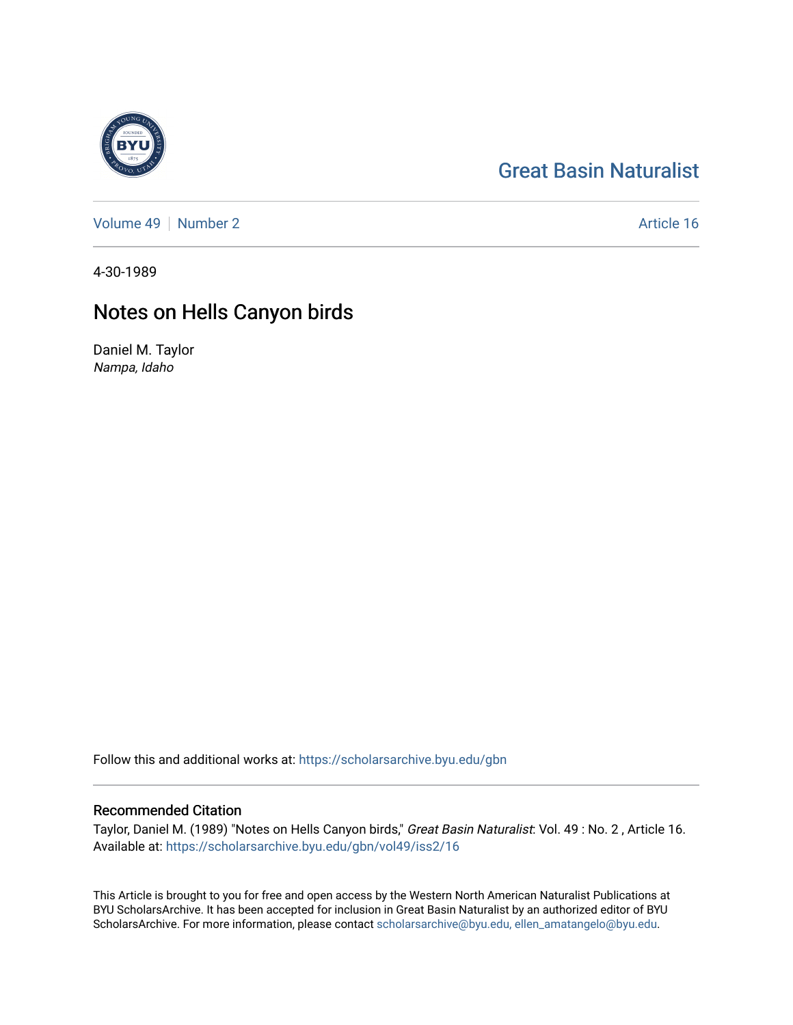# [Great Basin Naturalist](https://scholarsarchive.byu.edu/gbn)

[Volume 49](https://scholarsarchive.byu.edu/gbn/vol49) [Number 2](https://scholarsarchive.byu.edu/gbn/vol49/iss2) Article 16

4-30-1989

# Notes on Hells Canyon birds

Daniel M. Taylor Nampa, Idaho

Follow this and additional works at: [https://scholarsarchive.byu.edu/gbn](https://scholarsarchive.byu.edu/gbn?utm_source=scholarsarchive.byu.edu%2Fgbn%2Fvol49%2Fiss2%2F16&utm_medium=PDF&utm_campaign=PDFCoverPages) 

# Recommended Citation

Taylor, Daniel M. (1989) "Notes on Hells Canyon birds," Great Basin Naturalist: Vol. 49 : No. 2 , Article 16. Available at: [https://scholarsarchive.byu.edu/gbn/vol49/iss2/16](https://scholarsarchive.byu.edu/gbn/vol49/iss2/16?utm_source=scholarsarchive.byu.edu%2Fgbn%2Fvol49%2Fiss2%2F16&utm_medium=PDF&utm_campaign=PDFCoverPages) 

This Article is brought to you for free and open access by the Western North American Naturalist Publications at BYU ScholarsArchive. It has been accepted for inclusion in Great Basin Naturalist by an authorized editor of BYU ScholarsArchive. For more information, please contact [scholarsarchive@byu.edu, ellen\\_amatangelo@byu.edu.](mailto:scholarsarchive@byu.edu,%20ellen_amatangelo@byu.edu)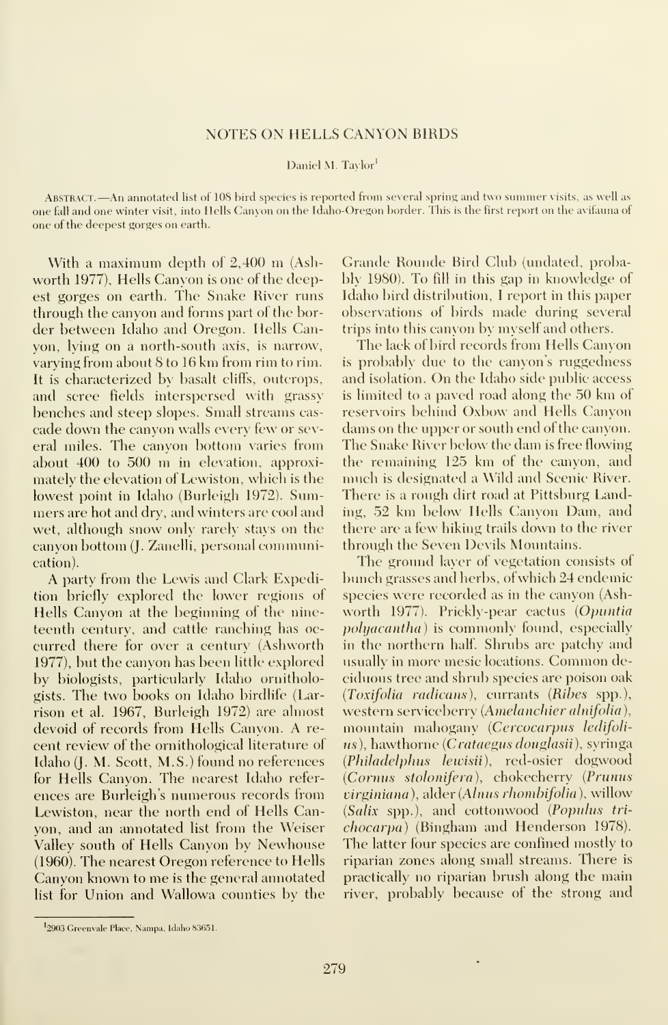## NOTES ON HELLS CANYON BIRDS

#### Daniel M. Tavlor<sup>1</sup>

Abstract. —An annotated list of <sup>108</sup> bird species is reported from several spring and two summer visits, as well as one fall and one winter visit, into Hells Canyon on the Idaho-Oregon border. This is the first report on the avifauna of one of the deepest gorges on earth.

With <sup>a</sup> maximum depth of 2,400 m (Ashworth 1977), Hells Canyon is one of the deepest gorges on earth. The Snake River runs through the canyon and forms part of the border between Idaho and Oregon. Hells Canyon, lying on a north-south axis, is narrow, varying from about 8 to 16 km from rim to rim. It is characterized by basalt cliffs, outcrops, and scree fields interspersed with grassy benches and steep slopes. Small streams cas cade down the canyon walls every few or several miles. The canyon bottom varies from about <sup>400</sup> to <sup>500</sup> m in elevation, approximately the elevation of Lewiston, which is the lowest point in Idaho (Burleigh 1972). Summers are hot and dry, and winters are cool and wet, although snow only rarely stays on the canyon bottom (J. Zanelli, personal communication).

A party from the Lewis and Clark Expedition briefly explored the lower regions of Hells Canyon at the beginning of the nineteenth century, and cattle ranching has oc curred there for over a century (Ashworth 1977), but the canyon has been little explored by biologists, particularly Idaho ornithologists. The two books on Idaho birdlife (Larrison et al. 1967, Burleigh 1972) are almost devoid of records from Hells Canyon. A re cent review of the ornithological literature of Idaho (J. M. Scott, M.S.) found no references for Hells Canyon. The nearest Idaho refer ences are Burleigh's numerous records from Lewiston, near the north end of Hells Canyon, and an annotated list from the Weiser Valley south of Hells Canyon by Newhouse (1960). The nearest Oregon reference to Hells Canyon known to me is the general annotated list for Union and Wallowa counties by the

Grande Rounde Bird Club (undated, probably 1980). To fill in this gap in knowledge of Idaho bird distribution, <sup>I</sup>report in this paper observations of birds made during several trips into this canyon by myself and others.

The lack of bird records from Hells Canyon is probably due to the canyon's ruggedness and isolation. On the Idaho side public access is limited to <sup>a</sup> paved road along the 50 km of reservoirs behind Oxbow and Hells Canyon dams on the upper or south end of the canyon. The Snake River below the dam is free flowing the remaining 125 km of the canyon, and much is designated <sup>a</sup> Wild and Scenic River. There is a rough dirt road at Pittsburg Landing. 52 km below Hells Canyon Dam, and there are a few hiking trails down to the river through the Seven Devils Mountains.

The ground layer of vegetation consists of bunch grasses and herbs, of which 24 endemic species were recorded as in the canyon (Ashworth 1977). Prickly-pear cactus (Opuntia polyacantha) is commonly found, especially in the northern half. Shrubs are patchy and usually in more mesic locations. Common deciduous tree and shrub species are poison oak (Toxifolia radicans), currants (Ribes spp.), western serviceberry (Amelanchier alnifolia), mountain mahogany (Cercocarpus ledifoli us), hawthorne (Crataegus douglasii), syringa (Philadelphus lewisii), red-osier dogwood (Cornus stolonifera), chokecherry (Primus virginiana), alder (Alnus rhombifolia), willow (Salix spp.), and cottonwood (Populus tri chocarpa) (Bingham and Henderson 1978). The latter four species are confined mostly to riparian zones along small streams. There ispractically no riparian brush along the main river, probably because of the strong and

<sup>&</sup>lt;sup>I</sup>2903 Greenvale Place, Nampa, Idaho 83651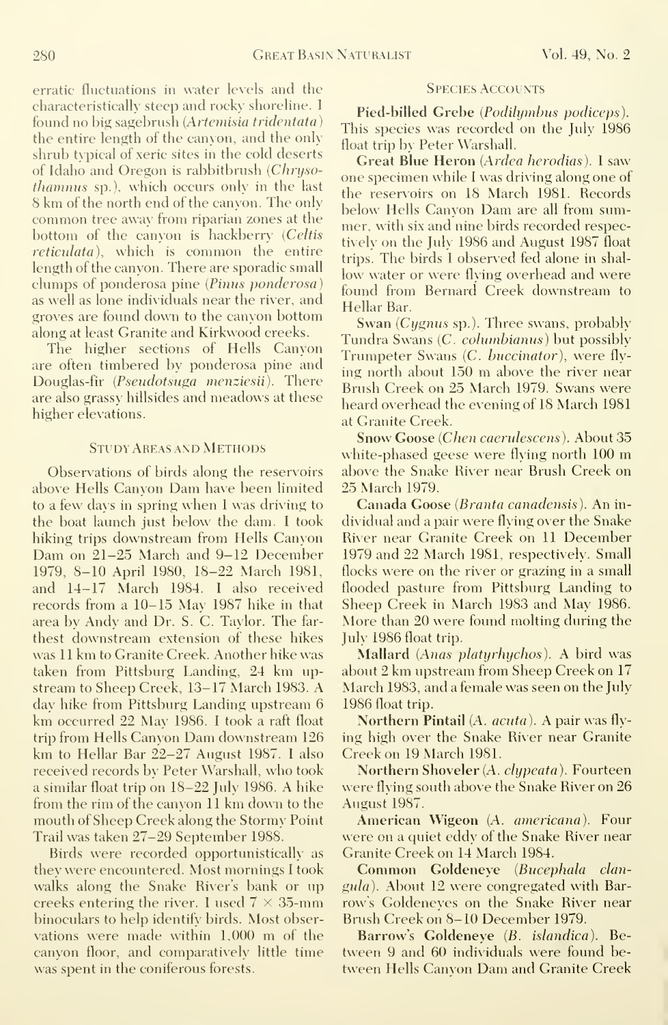erratic fluctuations in water levels and the characteristically steep and rocky shoreline. <sup>I</sup> found no big sagebrush (Artemisia tridentata) the entire length of the canyon, and the only shrub typical of xeric sites in the cold deserts of Idaho and Oregon is rabbitbrush (Chrysothamnus sp.), which occurs only in the last 8 km of the north end of the canyon. The only common tree away from riparian zones at the bottom of the canyon is hackberry (Celtis reticulata), which is common the entire length of the canyon. There are sporadic small clumps of ponderosa pine (Pinus ponderosa as well as lone individuals near the river, and groves are found down to the canyon bottom along at least Granite and Kirkwood creeks.

The higher sections of Hells Canyon are often timbered by ponderosa pine and Douglas-fir (Pseudotsaga menziesii). There are also grassy hillsides and meadows at these higher elevations.

# Study Areas and Methods

Observations of birds along the reservoirs above Hells Canyon Dam have been limited to a few days in spring when <sup>I</sup> was driving to the boat launch just below the dam. I took hiking trips downstream from Hells Canyon Dam on 21-25 March and 9-12 December 1979, 8-10 April 1980, 18-22 March 1981, and 14-17 March 1984. <sup>I</sup> also received records from <sup>a</sup> 10-15 May 1987 hike in that area by Andy and Dr. S. C. Taylor. The far thest downstream extension of these hikes was <sup>11</sup> km to Granite Creek. Another hike was taken from Pittsburg Landing, 24 km up stream to Sheep Creek, 13-17 March 1983. A day hike from Pittsburg Landing upstream 6 km occurred 22 May 1986. <sup>I</sup> took <sup>a</sup> raft float trip from Hells Canyon Dam downstream <sup>126</sup> km to Hellar Bar 22-27 August 1987. <sup>I</sup> also received records by Peter Warshall, who took <sup>a</sup> similar float trip on 18-22 July 1986. A hike from the rim of the canyon <sup>11</sup> km down to the mouth of Sheep Creek along the Stormy Point Trail was taken 27-29 September 1988.

Birds were recorded opportunistically as they were encountered. Most mornings <sup>I</sup> took walks along the Snake River's bank or up creeks entering the river. 1 used  $7 \times 35$ -mm binoculars to help identify birds. Most observations were made within  $1,000$  m of the canyon floor, and comparatively little time was spent in the coniferous forests.

## **SPECIES ACCOUNTS**

Pied-billed Grebe (Podilymbus podiceps). This species was recorded on the July 1986 float trip by Peter Warshall.

Great Blue Heron (Ardea herodias). <sup>I</sup> saw one specimen while <sup>I</sup> was driving along one of the reservoirs on 18 March 1981. Records below Hells Canyon Dam are all from summer, with six and nine birds recorded respectively on the July 1986 and August 1987 float trips. The birds I observed fed alone in shallow water or were flying overhead and were found from Bernard Creek downstream to Hellar Bar.

Swan (Cygnus sp.). Three swans, probably Tundra Swans (C. columbianus) but possibly Trumpeter Swans (C. buccinator), were flying north about <sup>150</sup> m above the river near Brush Creek on 25 March 1979. Swans were heard overhead the evening of 18 March 1981 at Granite Creek.

Snow Goose (Chen caerulescens). About 35 white-phased geese were flying north <sup>100</sup> m above the Snake River near Brush Creek on 25 March 1979.

Canada Goose (Branta canadensis). An in dividual and a pair were flying over the Snake River near Granite Creek on 11 December 1979 and 22 March 1981, respectively. Small flocks were on the river or grazing in a small flooded pasture from Pittsburg Landing to Sheep Creek in March 1983 and May 1986. More than 20 were found molting during the July 1986 float trip.

Mallard (Anas platyrhychos). A bird was about <sup>2</sup> km upstream from Sheep Creek on <sup>17</sup> March 1983, and a female was seen on the July 1986 float trip.

Northern Pintail (A. *acuta*). A pair was flying high over the Snake River near Granite Creek on 19 March 1981.

Northern Shoveler (A. clypeata). Fourteen were flying south above the Snake River on 26 August 1987.

American Wigeon (A. americana). Four were on a quiet eddv of the Snake River near Granite Creek on 14 March 1984.

Common Goldeneye (Bucephala clan $gula$ ). About 12 were congregated with Barrow's Goldeneyes on the Snake River near Brush Creek on 8-10 December 1979.

Barrow's Goldeneye (B. islandica). Be tween 9 and 60 individuals were found between Hells Canyon Dam and Granite Creek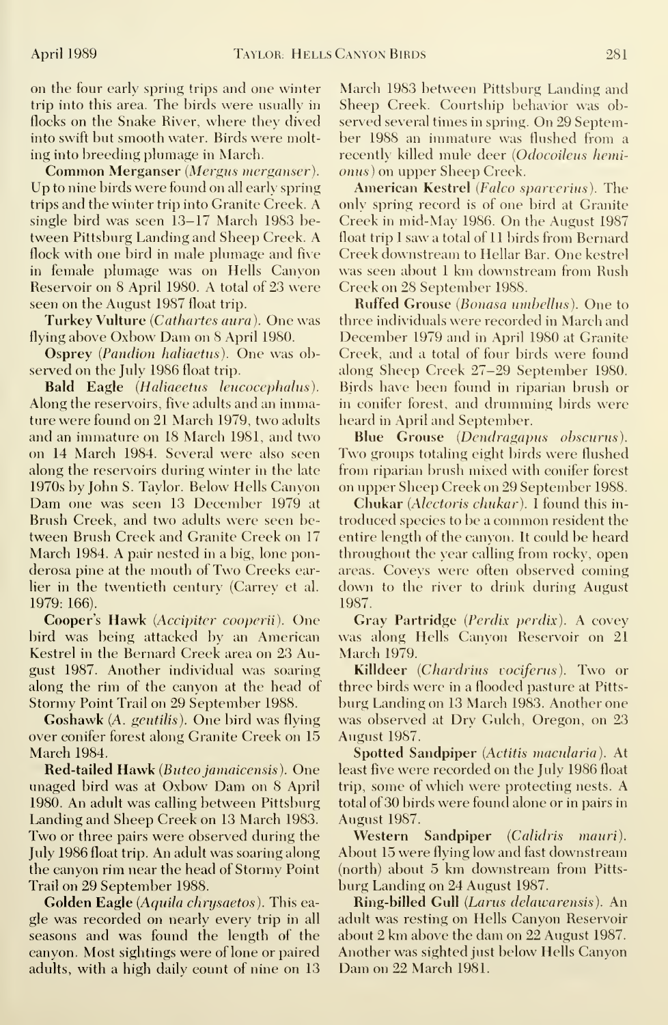on the four early spring trips and one winter trip into this area. The birds were usually in flocks on the Snake River, where they dived into swift but smooth water. Birds were molting into breeding plumage in March.

Common Merganser (Mergus merganser). Up to nine birds were found on all early spring trips and the winter trip into Granite Creek. A single bird was seen 13-17 March 1983 between Pittsburg Landing and Sheep Creek. A flock with one bird in male plumage and five in female plumage was on Hells Canyon Reservoir on 8 April 1980. A total of 23 were seen on the August 1987 float trip.

Turkey Vulture (Cathartes aura). One was flying above Oxbow Dam on <sup>8</sup> April 1980.

Osprey (Pandion haliaetus). One was observed on the July 1986 float trip.

Bald Eagle (Haliaeetus leucocephalus). Along the reservoirs, five adults and an immature were found on 21 March 1979, two adults and an immature on 18 March 1981, and two on 14 March 1984. Several were also seen along the reservoirs during winter in the late 1970s by John S. Taylor. Below Hells Canyon Dam one was seen <sup>13</sup> December 1979 at Brush Creek, and two adults were seen between Brush Creek and Granite Creek on 17 March 1984. A pair nested in <sup>a</sup> big, lone ponderosa pine at the mouth of Two Creeks earlier in the twentieth century (Carrev et al. 1979: 166).

Cooper's Hawk (Accipiter cooperii). One bird was being attacked by an American Kestrel in the Bernard Creek area on 23 August 1987. Another individual was soaring along the rim of the canyon at the head of Stormy Point Trail on 29 September 1988.

Goshawk (A. gentilis). One bird was flying over conifer forest along Granite Creek on 15 March 1984.

Red-tailed Hawk (Buteo jamaicensis). One imaged bird was at Oxbow Dam on <sup>8</sup> April 1980. An adult was calling between Pittsburg Landing and Sheep Creek on 13 March 1983. Two or three pairs were observed during the July 1986 float trip. An adult was soaring along the canyon rim near the head of Stormy Point Trail on 29 September 1988.

Golden Eagle (Aquila chrysaetos). This eagle was recorded on nearly every trip in all seasons and was found the length of the canyon. Most sightings were of lone or paired adults, with a high daily count of nine on 13

March 1983 between Pittsburg Landing and Sheep Creek. Courtship behavior was observed several times in spring. On 29 September 1988 an immature was flushed from a recently killed mule deer (Odocoileus hemionus) on upper Sheep Creek.

American Kestrel (Faleo sparverius). The only spring record is of one bird at Granite Creek in mid-May 1986. On the August 1987 float trip <sup>I</sup> saw a total of 11 birds from Bernard Creek downstream to Hellar Bar. One kestrel was seen about <sup>1</sup>km downstream from Rush Creek on 28 September 1988.

Ruffed Grouse (Bonasa umbellus). One to three individuals were recorded in March and December 1979 and in April 1980 at Granite Creek, and a total of four birds were found along Sheep Creek 27-29 September 1980. Birds have been found in riparian brush or in conifer forest, and drumming birds were heard in April and September.

Blue Grouse (Dendragapus obscurus). Two groups totaling eight birds were flushed from riparian brush mixed with conifer forest on upper Sheep Creek on 29 September 1988.

Chukar (Alectoris chukar). <sup>I</sup> found this in troduced species to be <sup>a</sup> common resident the entire length of the canyon. It could be heard throughout the year calling from rocky, open areas. Coveys were often observed coming down to the river to drink during August 1987.

Gray Partridge (Perdix perdix). A covey was along Hells Canvon Reservoir on 21 March 1979.

Killdeer (Chardrius vociferus). Two or three birds were in a flooded pasture at Pitts burg Landing on 13 March 1983. Another one was observed at Dry Gulch, Oregon, on 23 August 1987.

Spotted Sandpiper (Actitis macularia). At least five were recorded on the July 1986 float trip, some of which were protecting nests. A total of 30 birds were found alone or in pairs in August 1987.

Western Sandpiper (Calidris mauri). About 15 were flying low and fast downstream (north) about 5 km downstream from Pitts burg Landing on 24 August 1987.

Ring-billed Gull (Larus delawarensis). An adult was resting on Hells Canyon Reservoir about 2 km above the dam on 22 August 1987. Another was sighted just below Hells Canyon Dam on 22 March 1981.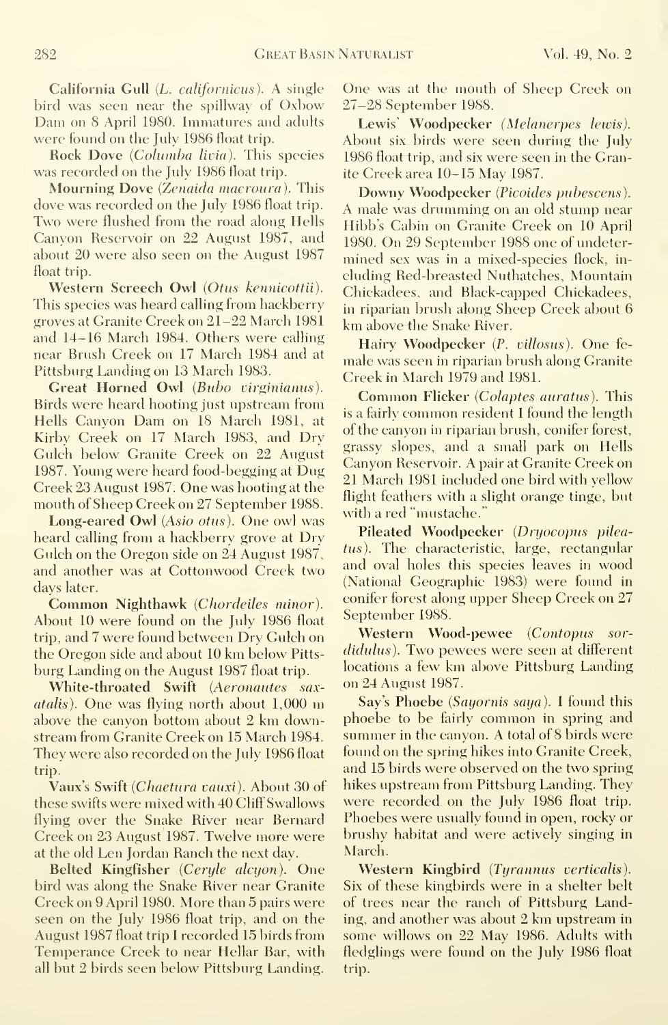California Gull (L. californicus). A single bird was seen near the spillway of Oxbow Dam on <sup>8</sup> April 1980. Immatures and adults were found on the July 1986 float trip.

Rock Dove (Columba livia). This species was recorded on the July 1986 float trip.

Mourning Dove (Zenaida macroura). This dove was recorded on the July 1986 float trip. Two were flushed from the road along Hells Canyon Reservoir on 22 August 1987, and about 20 were also seen on the August 1987 float trip.

Western Screech Owl (Otus kennicottii). This species was heard calling from hackberry groves at Granite Creek on 21-22 March 1981 and 14-16 March 1984. Others were calling near Brush Creek on 17 March 1984 and at Pittsburg Landing on 13 March 1983.

Great Horned Owl (Bubo virginianus). Birds were heard hooting just upstream from Hells Canyon Dam on <sup>18</sup> March 1981, at Kirby Creek on 17 March 1983, and Dry Gulch below Granite Creek on 22 August 1987. Young were heard food-begging at Dug Creek 23 August 1987. One was hooting at the mouth of Sheep Creek on 27 September 1988.

Long-eared Owl (Asio otus). One owl was heard calling from a hackberry grove at Dry Gulch on the Oregon side on 24 August 1987, and another was at Cottonwood Creek two days later.

Common Nighthawk (Chordeiles minor). About 10 were found on the July 1986 float trip, and 7 were found between Dry Gulch on the Oregon side and about <sup>10</sup> km below Pitts burg Landing on the August 1987 float trip.

White-throated Swift (Aeronautes saxatalis). One was flying north about 1,000 m above the canyon bottom about 2 km downstream from Granite Creek on 15 March 1984. They were also recorded on the July 1986 float trip.

Vaux's Swift (Chaetura vauxi). About 30 of these swifts were mixed with 40 Cliff Swallows flying over the Snake River near Bernard Creek on 23 August 1987. Twelve more were at the old Len Jordan Ranch the next day.

Belted Kingfisher (Ceryle alcyon). One bird was along the Snake River near Granite Creek on 9 April 1980. More than 5 pairs were seen on the July 1986 float trip, and on the August 1987 float trip <sup>I</sup> recorded 15 birds from Temperance Creek to near Hellar Bar, with all but 2 birds seen below Pittsburg Landing.

One was at the mouth of Sheep Creek on 27-28 September 1988.

Lewis' Woodpecker (Melanerpes lewis). About six birds were seen during the July 1986 float trip, and six were seen in the Granite Creek area 10-15 May 1987.

Downy Woodpecker (Picoides pubescens). A male was drumming on an old stump near Hibb's Cabin on Granite Creek on 10 April 1980. On 29 September 1988 one of undetermined sex was in a mixed-species flock, in cluding Red-breasted Nuthatches, Mountain Chickadees, and Black-capped Chickadees, in riparian brush along Sheep Creek about 6 km above the Snake River.

Hairy Woodpecker (P. villosus). One fe male was seen in riparian brush along Granite Creek in March 1979 and 1981.

Common Flicker (Colaptes auratus). This is <sup>a</sup> fairly common resident <sup>I</sup> found the length of the canyon in riparian brush, conifer forest, grassy slopes, and a small park on Hells Canyon Reservoir. A pair at Granite Creek on 21 March 1981 included one bird with yellow flight feathers with a slight orange tinge, but with a red "mustache."

Pileated Woodpecker (Dryocopus pileatus). The characteristic, large, rectangular and oval holes this species leaves in wood (National Geographic 1983) were found in conifer forest along upper Sheep Creek on 27 September 1988.

Western Wood-pewee (Contopus sor didulus). Two pewees were seen at different locations <sup>a</sup> few km above Pittsburg Landing on 24 August 1987.

Say's Phoebe (Sayornis saya). I found this phoebe to be fairly common in spring and summer in the canyon. A total of 8 birds were found on the spring hikes into Granite Creek, and 15 birds were observed on the two spring hikes upstream from Pittsburg Landing. They were recorded on the July 1986 float trip. Phoebes were usually found in open, rocky or brushy habitat and were actively singing in March.

Western Kingbird (Tyrannus verticalis). Six of these kingbirds were in a shelter belt of trees near the ranch of Pittsburg Landing, and another was about 2 km upstream in some willows on 22 May 1986. Adults with fledglings were found on the July 1986 float trip.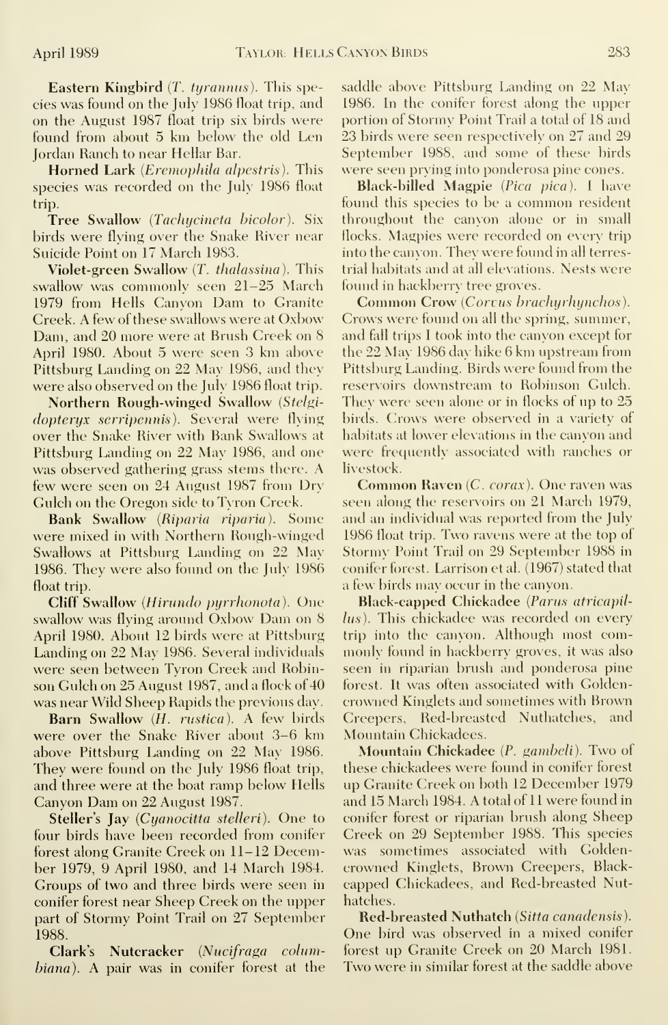Eastern Kingbird (T. tyrannus). This species was found on the July 1986 float trip, and on the August 1987 float trip six birds were found from about 5 km below the old Len Jordan Ranch to near Hellar Bar.

Horned Lark *(Eremophila alpestris)*. This species was recorded on the July 1986 float trip.

Tree Swallow (Tachycineta bicolor). Six birds were flying over the Snake River near Suicide Point on 17 March 1983.

Violet-green Swallow (T. thalassina). This swallow was commonly seen 21-25 March 1979 from Hells Canyon Dam to Granite Creek. A few of these swallows were at Oxbow Dam, and 20 more were at Brush Creek on 8 April 1980. About 5 were seen 3 km above Pittsburg Landing on 22 May 1986, and they were also observed on the July 1986 float trip.

Northern Rough-winged Swallow (Stelgidopteryx serripennis). Several were flying over the Snake River with Bank Swallows at Pittsburg Landing on 22 May 1986, and one was observed gathering grass stems there. A few were seen on 24 August 1987 from Dry Gulch on the Oregon side to Tyron Creek.

Bank Swallow (Riparia riparia). Some were mixed in with Northern Rough-winged Swallows at Pittsburg Landing on 22 May 1986. They were also found on the July 1986 float trip.

Cliff Swallow (Hirundo pyrrhonota). One swallow was flying around Oxbow Dam on <sup>8</sup> April 1980. About 12 birds were at Pittsburg Landing on 22 May 1986. Several individuals were seen between Tyron Creek and Robinson Gulch on 25 August 1987, and a flock of 40 was near Wild Sheep Rapids the previous day.

Barn Swallow (*H. rustica*). A few birds were over the Snake River about 3-6 km above Pittsburg Landing on 22 May 1986. They were found on the July 1986 float trip, and three were at the boat ramp below Hells Canyon Dam on 22 August 1987.

Steller's Jay (Cyanocitta stelleri). One to four birds have been recorded from conifer forest along Granite Creek on 11-12 December 1979, 9 April 1980, and 14 March 1984. Groups of two and three birds were seen in conifer forest near Sheep Creek on the upper part of Stormy Point Trail on 27 September 1988.

Clark's Nutcracker (Nucifraga columbiana). A pair was in conifer forest at the saddle above Pittsburg Landing on 22 May 1986. In the conifer forest along the upper portion of Stormy Point Trail a total of 18 and 23 birds were seen respectively on 27 and 29 September 1988, and some of these birds were seen prying into ponderosa pine cones.

Black-billed Magpie {Pica pica). <sup>I</sup> have found this species to be <sup>a</sup> common resident throughout the canyon alone or in small flocks. Magpies were recorded on every trip into the canyon. They were found in all terrestrial habitats and at all elevations. Nests were found in hackberry tree groves.

Common Crow (Corvus brachyrhynchos). Crows were found on all the spring, summer, and fall trips I took into the canyon except for the 22 May 1986 day hike 6 km upstream from Pittsburg Landing. Birds were found from the reservoirs downstream to Robinson Gulch. They were seen alone or in flocks of up to 25 birds. Crows were observed in a variety of habitats at lower elevations in the canyon and were frequently associated with ranches or livestock.

Common Raven (C. corax). One raven was seen along the reservoirs on 21 March 1979, and an individual was reported from the July 1986 float trip. Two ravens were at the top of Stormy Point Trail on 29 September 1988 in conifer forest. Larrison et al. (1967) stated that <sup>a</sup> few birds may occur in the canyon.

Black-capped Chickadee (Parus atricapillus). This chickadee was recorded on every trip into the canyon. Although most com monly found in hackberry groves, it was also seen in riparian brush and ponderosa pine forest. It was often associated with Goldencrowned Kinglets and sometimes with Brown Creepers, Red-breasted Nuthatches, and Mountain Chickadees.

Mountain Chickadee (P. gambeli). Two of these chickadees were found in conifer forest up Granite Creek on both 12 December 1979 and 15 March 1984. A total of <sup>11</sup> were found in conifer forest or riparian brush along Sheep Creek on 29 September 1988. This species was sometimes associated with Goldencrowned Kinglets, Brown Creepers, Blackcapped Chickadees, and Red-breasted Nuthatches.

Red-breasted Nuthatch (Sitta canadensis). One bird was observed in <sup>a</sup> mixed conifer forest up Granite Creek on 20 March 1981. Two were in similar forest at the saddle above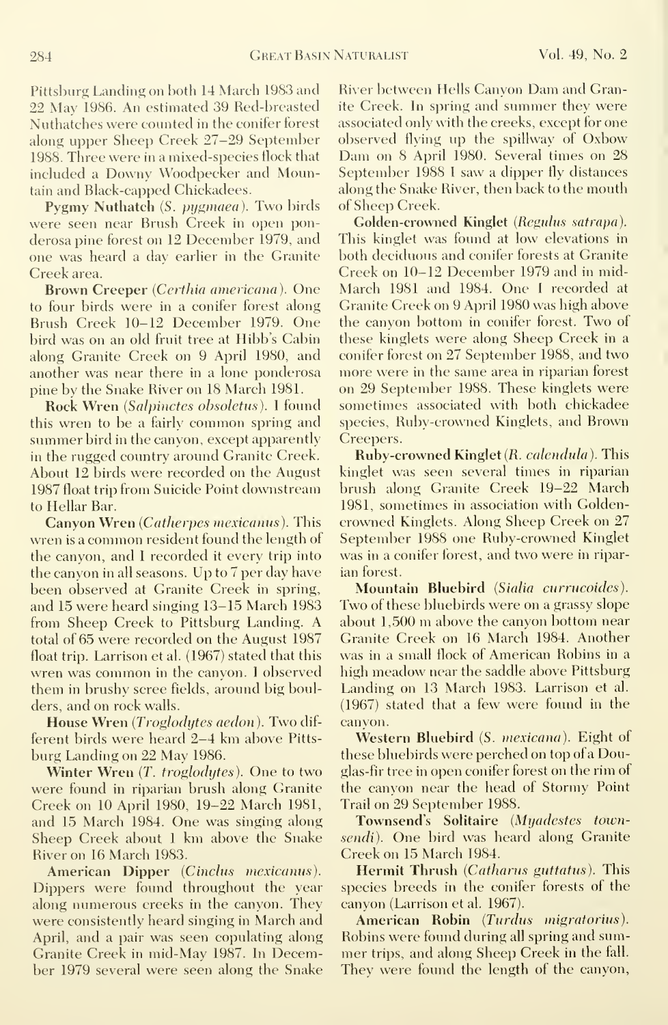Pittsburg Landing on both 14 March 1983 and 22 May 1986. An estimated 39 Red-breasted Nuthatches were counted in the conifer forest along upper Sheep Creek 27-29 September 1988. Three were in a mixed-species flock that included <sup>a</sup> Downy Woodpecker and Mountain and Black-capped Chickadees.

Pygmy Nuthatch (S. pygmaea). Two birds were seen near Brush Creek in open ponderosa pine forest on 12 December 1979, and one was heard a day earlier in the Granite Creek area.

Brown Creeper (Certhia americana). One to four birds were in a conifer forest along Brush Creek 10-12 December 1979. One bird was on an old fruit tree at Hibb's Cabin along Granite Creek on 9 April 1980, and another was near there in a lone ponderosa pine by the Snake River on 18 March 1981.

Rock Wren (Salpinctes obsoletus). <sup>I</sup> found this wren to be <sup>a</sup> fairly common spring and summer bird in the canyon, except apparently in the rugged country around Granite Creek. About 12 birds were recorded on the August 1987 float trip from Suicide Point downstream to Hellar Bar.

Canyon Wren (Catherpes mexicanus). This wren is <sup>a</sup> common resident found the length of the canyon, and <sup>I</sup> recorded it every trip into the canyon in all seasons. Up to 7 per day have been observed at Granite Creek in spring, and 15 were heard singing 13-15 March 1983 from Sheep Creek to Pittsburg Landing. A total of 65 were recorded on the August 1987 float trip. Larrison et al. (1967) stated that this wren was common in the canyon. <sup>I</sup> observed them in brushy scree fields, around big boulders, and on rock walls.

House Wren (Troglodytes aedon). Two different birds were heard 2-4 km above Pitts burg Landing on 22 May 1986.

Winter Wren (T. troglodytes). One to two were found in riparian brush along Granite Creek on 10 April 1980, 19-22 March 1981, and 15 March 1984. One was singing along Sheep Creek about <sup>1</sup> km above the Snake River on 16 March 1983.

American Dipper (Cinclus mexicanus). Dippers were found throughout the year along numerous creeks in the canyon. They were consistently heard singing in March and April, and a pair was seen copulating along Granite Creek in mid-May 1987. In December 1979 several were seen along the Snake River between Hells Canyon Dam and Granite Creek. In spring and summer they were associated only with the creeks, except for one observed flying up the spillway of Oxbow Dam on <sup>8</sup> April 1980. Several times on 28 September 1988 <sup>I</sup> saw a dipper fly distances along the Snake River, then back to the mouth of Sheep Creek.

Golden-crowned Kinglet (Regulus satrapa). This kinglet was found at low elevations in both deciduous and conifer forests at Granite Creek on 10-12 December 1979 and in mid-March 1981 and 1984. One <sup>I</sup> recorded at Granite Creek on 9 April 1980 was high above the canyon bottom in conifer forest. Two of these kinglets were along Sheep Creek in a conifer forest on 27 September 1988, and two more were in the same area in riparian forest on 29 September 1988. These kinglets were sometimes associated with both chickadee species, Ruby-crowned Kinglets, and Brown Creepers.

Ruby-crowned Kinglet (R. calendula). This kinglet was seen several times in riparian brush along Granite Creek 19-22 March 1981, sometimes in association with Goldencrowned Kinglets. Along Sheep Creek on 27 September 1988 one Ruby-crowned Kinglet was in a conifer forest, and two were in ripar ian forest.

Mountain Bluebird (Sialia currucoides). Two of these bluebirds were on <sup>a</sup> grassy slope about 1,500 m above the canyon bottom near Granite Creek on 16 March 1984. Another was in a small flock of American Robins in a high meadow near the saddle above Pittsburg Landing on 13 March 1983. Larrison et al. (1967) stated that a few were found in the canyon.

Western Bluebird (S. mexicana). Eight of these bluebirds were perched on top of a Douglas-fir tree in open conifer forest on the rim of the canyon near the head of Stormy Point Trail on 29 September 1988.

Townsend's Solitaire (Myadestes townsendi). One bird was heard along Granite Creek on 15 March 1984.

Hermit Thrush (Catharus guttatus). This species breeds in the conifer forests of the canyon (Larrison et al. 1967).

American Robin (Turdus migratorius). Robins were found during all spring and sum mer trips, and along Sheep Creek in the fall. They were found the length of the canyon,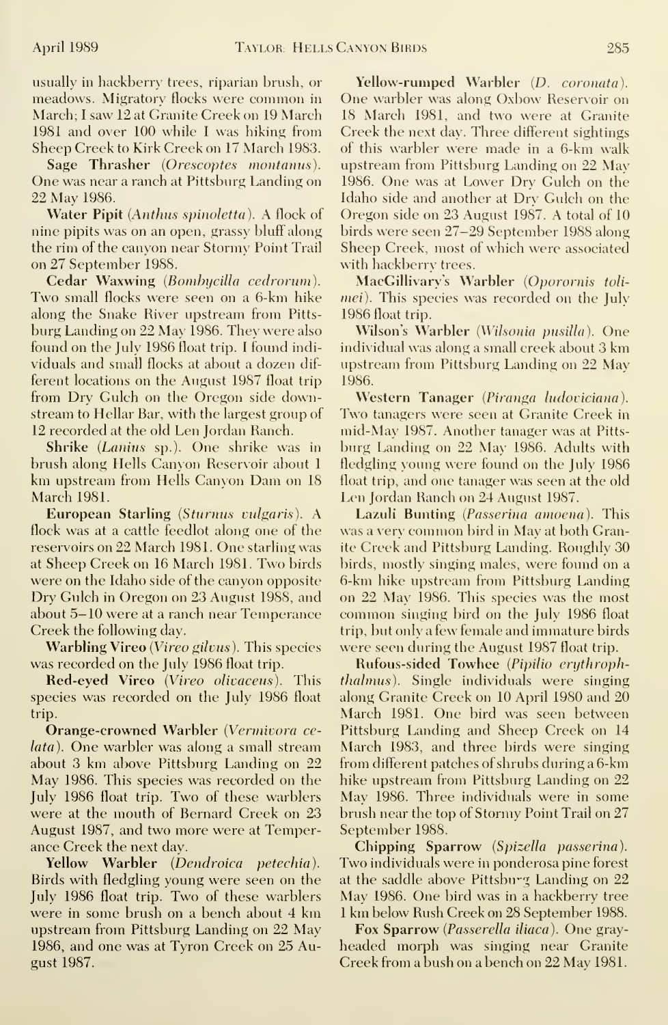usually in hackberry trees, riparian brush, or meadows. Migratory flocks were common in March; <sup>I</sup> saw 12 at Granite Creek on 19 March 1981 and over 100 while <sup>I</sup> was hiking from Sheep Creek to Kirk Creek on 17 March 1983.

Sage Thrasher (Orescoptes montanus). One was near a ranch at Pittsburg Landing on 22 May 1986.

Water Pipit (Anthus spinoletta). A flock of nine pipits was on an open, grassy bluff along the rim of the canyon near Stormy Point Trail on 27 September 1988.

Cedar Waxwing (Bombycilla cedrorum). Two small flocks were seen on <sup>a</sup> 6-km hike along the Snake River upstream from Pitts burg Landing on 22 May 1986. They were also found on the July 1986 float trip. <sup>I</sup> found indi viduals and small flocks at about a dozen dif ferent locations on the August 1987 float trip from Dry Gulch on the Oregon side downstream to Hellar Bar, with the largest group of 12 recorded at the old Len Jordan Ranch.

Shrike (Lanius sp.). One shrike was in brush along Hells Canyon Reservoir about <sup>1</sup> km upstream from Hells Canyon Dam on <sup>18</sup> March 1981.

European Starling (Sturnus vulgaris). A flock was at a cattle feedlot along one of the reservoirs on 22 March 1981. One starling was at Sheep Creek on 16 March 1981. Two birds were on the Idaho side of the canyon opposite Dry Gulch in Oregon on 23 August 1988, and about 5-10 were at a ranch near Temperance Creek the following day.

Warbling Vireo (Vireo gilvus). This species was recorded on the July 1986 float trip.

Red-eyed Vireo (Vireo olivaceus). This species was recorded on the July 1986 float trip.

Orange-crowned Warbler (Vermivora celata). One warbler was along <sup>a</sup> small stream about 3 km above Pittsburg Landing on 22 May 1986. This species was recorded on the July 1986 float trip. Two of these warblers were at the mouth of Bernard Creek on 23 August 1987, and two more were at Temperance Creek the next day.

Yellow Warbler (Dendroica petechia). Birds with fledgling young were seen on the July 1986 float trip. Two of these warblers were in some brush on <sup>a</sup> bench about 4 km upstream from Pittsburg Landing on 22 May 1986, and one was at Tyron Creek on 25 August 1987.

Yellow-rumped Warbler (D. coronata). One warbler was along Oxbow Reservoir on 18 March 1981, and two were at Granite Creek the next day. Three different sightings of this warbler were made in <sup>a</sup> 6-km walk upstream from Pittsburg Landing on 22 May 1986. One was at Lower Dry Gulch on the Idaho side and another at Dry Gulch on the Oregon side on 23 August 1987. A total of 10 birds were seen 27-29 September 1988 along Sheep Creek, most of which were associated with hackberry trees.

MacGillivary's Warbler (Oporornis tolimei). This species was recorded on the July 1986 float trip.

Wilson's Warbler (Wilsonia pusilla). One individual was along <sup>a</sup> small creek about 3 km upstream from Pittsburg Landing on 22 May 1986.

Western Tanager (Piranga ludoviciana). Two tanagers were seen at Granite Creek in mid-May 1987. Another tanager was at Pitts burg Landing on 22 May 1986. Adults with fledgling young were found on the July 1986 float trip, and one tanager was seen at the old Len Jordan Ranch on 24 August 1987.

Lazuli Bunting (Passerina amoena). This was <sup>a</sup> very common bird in May at both Granite Creek and Pittsburg Landing. Roughly 30 birds, mostly singing males, were found on a 6-km hike upstream from Pittsburg Landing on 22 May 1986. This species was the most common singing bird on the July 1986 float trip, but only a few female and immature birds were seen during the August 1987 float trip.

Rufous-sided Towhee (Pipilio erythrophthalmus). Single individuals were singing along Granite Creek on 10 April 1980 and 20 March 1981. One bird was seen between Pittsburg Landing and Sheep Creek on 14 March 1983, and three birds were singing from different patches of shrubs during a 6-km hike upstream from Pittsburg Landing on 22 May 1986. Three individuals were in some brush near the top of Stormy Point Trail on 27 September 1988.

Chipping Sparrow (Spizella passerina). Two individuals were in ponderosa pine forest at the saddle above Pittsburg Landing on 22 May 1986. One bird was in <sup>a</sup> hackberry tree <sup>1</sup> km below Rush Creek on 28 September 1988.

Fox Sparrow (Passerella iliaca). One gray headed morph was singing near Granite Creek from <sup>a</sup> bush on <sup>a</sup> bench on 22 May 1981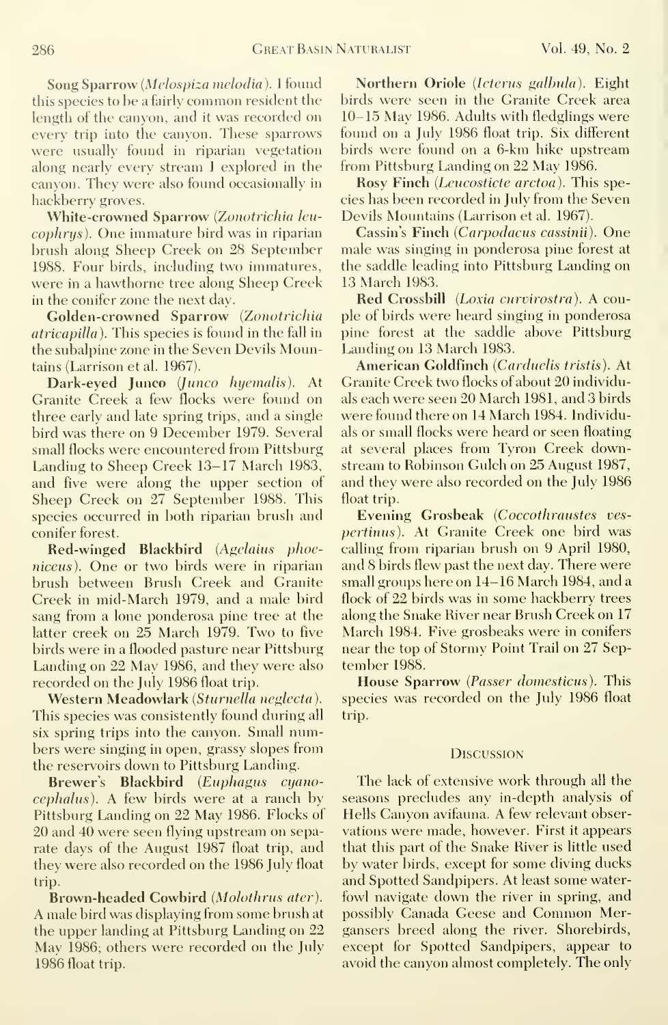Song Sparrow (Melospiza melodia ). <sup>I</sup> found this species to be <sup>a</sup> fairly common resident the length of the canyon, and it was recorded on every trip into the canyon. These sparrows were usually found in riparian vegetation along nearly every stream <sup>I</sup> explored in the canyon. They were also found occasionally in hackberry groves.

White-crowned Sparrow (Zonotrichia leu cophrys). One immature bird was in riparian brush along Sheep Creek on 28 September 1988. Four birds, including two immatures, were in a hawthorne tree along Sheep Creek in the conifer zone the next day.

Golden-crowned Sparrow (Zonotrichia atricapilla). This species is found in the fall in the subalpine zone in the Seven Devils Mountains (Larrison et al. 1967).

Dark-eyed Junco (Junco hyemalis). At Granite Creek a few flocks were found on three early and late spring trips, and a single bird was there on 9 December 1979. Several small flocks were encountered from Pittsburg Landing to Sheep Creek 13-17 March 1983, and five were along the upper section of Sheep Creek on 27 September 1988. This species occurred in both riparian brush and conifer forest.

Red-winged Blackbird (Agelaius phoeniceus). One or two birds were in riparian brush between Brush Creek and Granite Creek in mid-March 1979, and a male bird sang from a lone ponderosa pine tree at the latter creek on 25 March 1979. Two to five birds were in a flooded pasture near Pittsburg Landing on 22 May 1986, and they were also recorded on the July 1986 float trip.

Western Meadowlark (Sturnella neglecta). This species was consistently found during all six spring trips into the canyon. Small numbers were singing in open, grassy slopes from the reservoirs down to Pittsburg Landing.

Brewer's Blackbird (Euphagus cyanocephalus). A few birds were at <sup>a</sup> ranch by Pittsburg Landing on 22 May 1986. Flocks of 20 and 40 were seen flying upstream on separate days of the August 1987 float trip, and they were also recorded on the 1986 July float trip.

Brown-headed Cowbird (Molothrus ater). A male bird was displaying from some brush at the upper landing at Pittsburg Landing on 22 May 1986; others were recorded on the July 1986 float trip.

Northern Oriole (Icterus galbula). Eight birds were seen in the Granite Creek area 10-15 May 1986. Adults with fledglings were found on a July 1986 float trip. Six different birds were found on a 6-km hike upstream from Pittsburg Landing on 22 May 1986.

Rosy Finch (Leucosticte arctoa). This species has been recorded in July from the Seven Devils Mountains (Larrison et al. 1967).

Cassin's Finch (Carpodacus cassinii). One male was singing in ponderosa pine forest at the saddle leading into Pittsburg Landing on 13 March 1983.

Red Crossbill (Loxia curvirostra). A couple of birds were heard singing in ponderosa pine forest at the saddle above Pittsburg Landing on 13 March 1983.

American Goldfinch (Carduelis tristis). At Granite Creek two flocks of about 20 individuals each were seen 20 March 1981, and 3 birds were found there on 14 March 1984. Individuals or small flocks were heard or seen floating at several places from Tyron Creek downstream to Robinson Gulch on 25 August 1987, and they were also recorded on the July 1986 float trip.

Evening Grosbeak (Coccothraustes ves pertinus). At Granite Creek one bird was calling from riparian brush on 9 April 1980, and 8 birds flew past the next day. There were small groups here on 14-16 March 1984, and a flock of 22 birds was in some hackberry trees along the Snake River near Brush Creek on 17 March 1984. Five grosbeaks were in conifers near the top of Stormy Point Trail on 27 September 1988.

House Sparrow (Passer domesticus). This species was recorded on the July 1986 float trip.

### **DISCUSSION**

The lack of extensive work through all the seasons precludes any in-depth analysis of Hells Canyon avifauna. A few relevant observations were made, however. First it appears that this part of the Snake River is little used by water birds, except for some diving ducks and Spotted Sandpipers. At least some waterfowl navigate down the river in spring, and possibly Canada Geese and Common Mergansers breed along the river. Shorebirds, except for Spotted Sandpipers, appear to avoid the canyon almost completely. The only